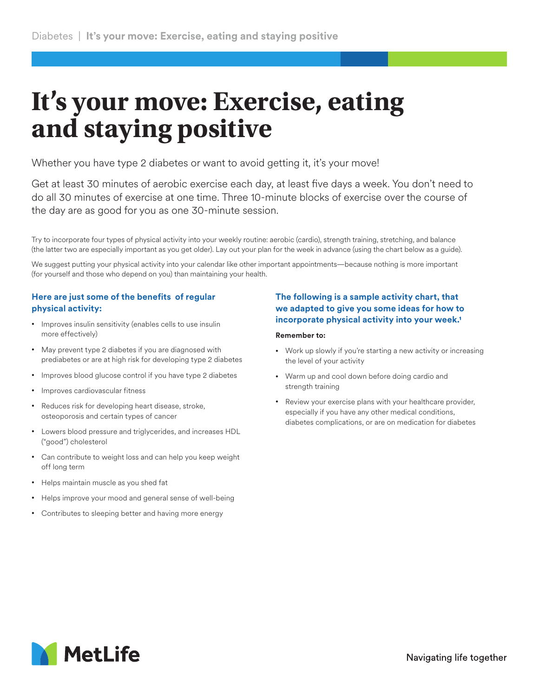# **It's your move: Exercise, eating and staying positive**

Whether you have type 2 diabetes or want to avoid getting it, it's your move!

Get at least 30 minutes of aerobic exercise each day, at least five days a week. You don't need to do all 30 minutes of exercise at one time. Three 10-minute blocks of exercise over the course of the day are as good for you as one 30-minute session.

Try to incorporate four types of physical activity into your weekly routine: aerobic (cardio), strength training, stretching, and balance (the latter two are especially important as you get older). Lay out your plan for the week in advance (using the chart below as a guide).

We suggest putting your physical activity into your calendar like other important appointments—because nothing is more important (for yourself and those who depend on you) than maintaining your health.

# **Here are just some of the benefits of regular physical activity:**

- Improves insulin sensitivity (enables cells to use insulin more effectively)
- May prevent type 2 diabetes if you are diagnosed with prediabetes or are at high risk for developing type 2 diabetes
- Improves blood glucose control if you have type 2 diabetes
- Improves cardiovascular fitness
- Reduces risk for developing heart disease, stroke, osteoporosis and certain types of cancer
- Lowers blood pressure and triglycerides, and increases HDL ("good") cholesterol
- Can contribute to weight loss and can help you keep weight off long term
- Helps maintain muscle as you shed fat
- Helps improve your mood and general sense of well-being
- Contributes to sleeping better and having more energy

# **The following is a sample activity chart, that we adapted to give you some ideas for how to incorporate physical activity into your week.1**

#### **Remember to:**

- Work up slowly if you're starting a new activity or increasing the level of your activity
- Warm up and cool down before doing cardio and strength training
- Review your exercise plans with your healthcare provider, especially if you have any other medical conditions, diabetes complications, or are on medication for diabetes